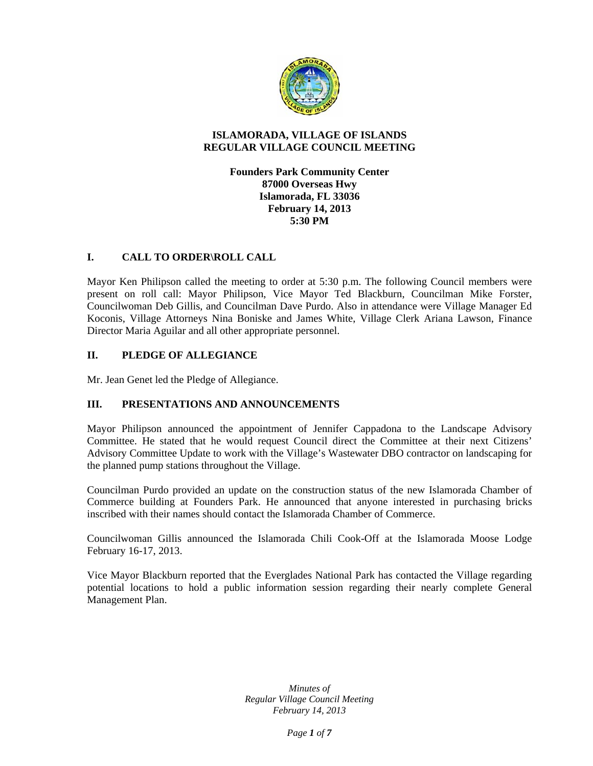

# **ISLAMORADA, VILLAGE OF ISLANDS REGULAR VILLAGE COUNCIL MEETING**

**Founders Park Community Center 87000 Overseas Hwy Islamorada, FL 33036 February 14, 2013 5:30 PM** 

# **I. CALL TO ORDER\ROLL CALL**

Mayor Ken Philipson called the meeting to order at 5:30 p.m. The following Council members were present on roll call: Mayor Philipson, Vice Mayor Ted Blackburn, Councilman Mike Forster, Councilwoman Deb Gillis, and Councilman Dave Purdo. Also in attendance were Village Manager Ed Koconis, Village Attorneys Nina Boniske and James White, Village Clerk Ariana Lawson, Finance Director Maria Aguilar and all other appropriate personnel.

# **II. PLEDGE OF ALLEGIANCE**

Mr. Jean Genet led the Pledge of Allegiance.

# **III. PRESENTATIONS AND ANNOUNCEMENTS**

Mayor Philipson announced the appointment of Jennifer Cappadona to the Landscape Advisory Committee. He stated that he would request Council direct the Committee at their next Citizens' Advisory Committee Update to work with the Village's Wastewater DBO contractor on landscaping for the planned pump stations throughout the Village.

Councilman Purdo provided an update on the construction status of the new Islamorada Chamber of Commerce building at Founders Park. He announced that anyone interested in purchasing bricks inscribed with their names should contact the Islamorada Chamber of Commerce.

Councilwoman Gillis announced the Islamorada Chili Cook-Off at the Islamorada Moose Lodge February 16-17, 2013.

Vice Mayor Blackburn reported that the Everglades National Park has contacted the Village regarding potential locations to hold a public information session regarding their nearly complete General Management Plan.

> *Minutes of Regular Village Council Meeting February 14, 2013*

> > *Page 1 of 7*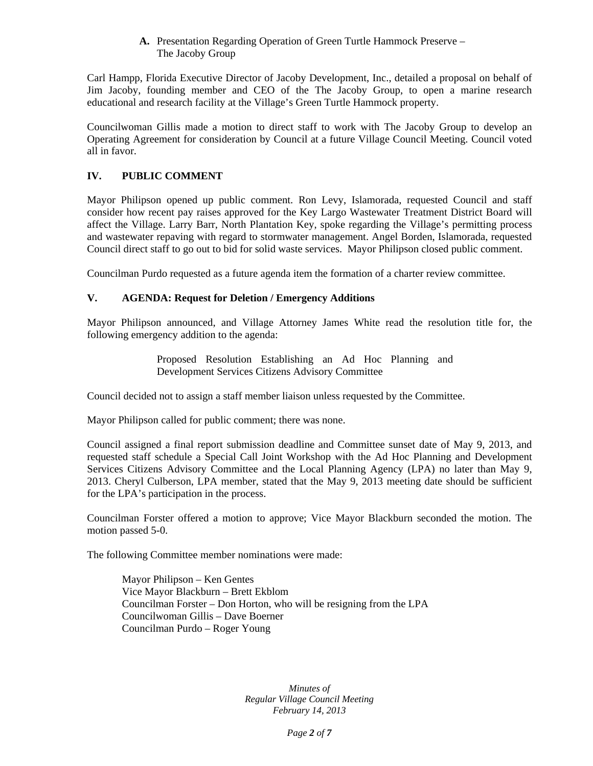### **A.** Presentation Regarding Operation of Green Turtle Hammock Preserve – The Jacoby Group

Carl Hampp, Florida Executive Director of Jacoby Development, Inc., detailed a proposal on behalf of Jim Jacoby, founding member and CEO of the The Jacoby Group, to open a marine research educational and research facility at the Village's Green Turtle Hammock property.

Councilwoman Gillis made a motion to direct staff to work with The Jacoby Group to develop an Operating Agreement for consideration by Council at a future Village Council Meeting. Council voted all in favor.

# **IV. PUBLIC COMMENT**

Mayor Philipson opened up public comment. Ron Levy, Islamorada, requested Council and staff consider how recent pay raises approved for the Key Largo Wastewater Treatment District Board will affect the Village. Larry Barr, North Plantation Key, spoke regarding the Village's permitting process and wastewater repaving with regard to stormwater management. Angel Borden, Islamorada, requested Council direct staff to go out to bid for solid waste services. Mayor Philipson closed public comment.

Councilman Purdo requested as a future agenda item the formation of a charter review committee.

# **V. AGENDA: Request for Deletion / Emergency Additions**

Mayor Philipson announced, and Village Attorney James White read the resolution title for, the following emergency addition to the agenda:

> Proposed Resolution Establishing an Ad Hoc Planning and Development Services Citizens Advisory Committee

Council decided not to assign a staff member liaison unless requested by the Committee.

Mayor Philipson called for public comment; there was none.

Council assigned a final report submission deadline and Committee sunset date of May 9, 2013, and requested staff schedule a Special Call Joint Workshop with the Ad Hoc Planning and Development Services Citizens Advisory Committee and the Local Planning Agency (LPA) no later than May 9, 2013. Cheryl Culberson, LPA member, stated that the May 9, 2013 meeting date should be sufficient for the LPA's participation in the process.

Councilman Forster offered a motion to approve; Vice Mayor Blackburn seconded the motion. The motion passed 5-0.

The following Committee member nominations were made:

Mayor Philipson – Ken Gentes Vice Mayor Blackburn – Brett Ekblom Councilman Forster – Don Horton, who will be resigning from the LPA Councilwoman Gillis – Dave Boerner Councilman Purdo – Roger Young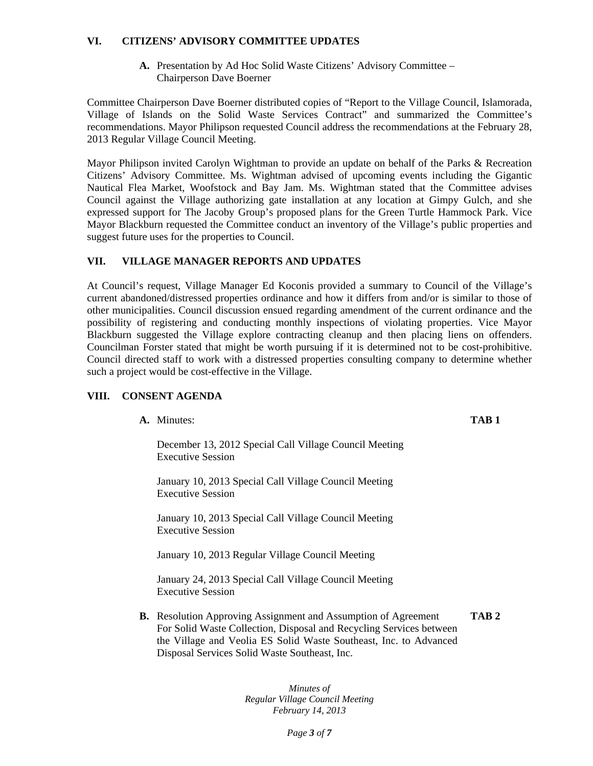### **VI. CITIZENS' ADVISORY COMMITTEE UPDATES**

**A.** Presentation by Ad Hoc Solid Waste Citizens' Advisory Committee – Chairperson Dave Boerner

Committee Chairperson Dave Boerner distributed copies of "Report to the Village Council, Islamorada, Village of Islands on the Solid Waste Services Contract" and summarized the Committee's recommendations. Mayor Philipson requested Council address the recommendations at the February 28, 2013 Regular Village Council Meeting.

Mayor Philipson invited Carolyn Wightman to provide an update on behalf of the Parks & Recreation Citizens' Advisory Committee. Ms. Wightman advised of upcoming events including the Gigantic Nautical Flea Market, Woofstock and Bay Jam. Ms. Wightman stated that the Committee advises Council against the Village authorizing gate installation at any location at Gimpy Gulch, and she expressed support for The Jacoby Group's proposed plans for the Green Turtle Hammock Park. Vice Mayor Blackburn requested the Committee conduct an inventory of the Village's public properties and suggest future uses for the properties to Council.

# **VII. VILLAGE MANAGER REPORTS AND UPDATES**

At Council's request, Village Manager Ed Koconis provided a summary to Council of the Village's current abandoned/distressed properties ordinance and how it differs from and/or is similar to those of other municipalities. Council discussion ensued regarding amendment of the current ordinance and the possibility of registering and conducting monthly inspections of violating properties. Vice Mayor Blackburn suggested the Village explore contracting cleanup and then placing liens on offenders. Councilman Forster stated that might be worth pursuing if it is determined not to be cost-prohibitive. Council directed staff to work with a distressed properties consulting company to determine whether such a project would be cost-effective in the Village.

### **VIII. CONSENT AGENDA**

**A.** Minutes: **TAB 1**

December 13, 2012 Special Call Village Council Meeting Executive Session

January 10, 2013 Special Call Village Council Meeting Executive Session

January 10, 2013 Special Call Village Council Meeting Executive Session

January 10, 2013 Regular Village Council Meeting

January 24, 2013 Special Call Village Council Meeting Executive Session

**B.** Resolution Approving Assignment and Assumption of Agreement **TAB 2** For Solid Waste Collection, Disposal and Recycling Services between the Village and Veolia ES Solid Waste Southeast, Inc. to Advanced Disposal Services Solid Waste Southeast, Inc.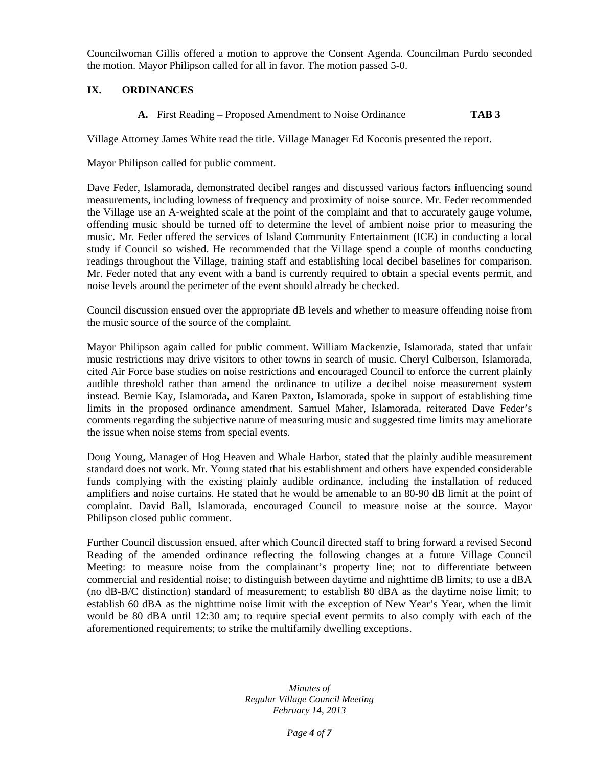Councilwoman Gillis offered a motion to approve the Consent Agenda. Councilman Purdo seconded the motion. Mayor Philipson called for all in favor. The motion passed 5-0.

# **IX. ORDINANCES**

**A.** First Reading – Proposed Amendment to Noise Ordinance **TAB 3** 

Village Attorney James White read the title. Village Manager Ed Koconis presented the report.

Mayor Philipson called for public comment.

Dave Feder, Islamorada, demonstrated decibel ranges and discussed various factors influencing sound measurements, including lowness of frequency and proximity of noise source. Mr. Feder recommended the Village use an A-weighted scale at the point of the complaint and that to accurately gauge volume, offending music should be turned off to determine the level of ambient noise prior to measuring the music. Mr. Feder offered the services of Island Community Entertainment (ICE) in conducting a local study if Council so wished. He recommended that the Village spend a couple of months conducting readings throughout the Village, training staff and establishing local decibel baselines for comparison. Mr. Feder noted that any event with a band is currently required to obtain a special events permit, and noise levels around the perimeter of the event should already be checked.

Council discussion ensued over the appropriate dB levels and whether to measure offending noise from the music source of the source of the complaint.

Mayor Philipson again called for public comment. William Mackenzie, Islamorada, stated that unfair music restrictions may drive visitors to other towns in search of music. Cheryl Culberson, Islamorada, cited Air Force base studies on noise restrictions and encouraged Council to enforce the current plainly audible threshold rather than amend the ordinance to utilize a decibel noise measurement system instead. Bernie Kay, Islamorada, and Karen Paxton, Islamorada, spoke in support of establishing time limits in the proposed ordinance amendment. Samuel Maher, Islamorada, reiterated Dave Feder's comments regarding the subjective nature of measuring music and suggested time limits may ameliorate the issue when noise stems from special events.

Doug Young, Manager of Hog Heaven and Whale Harbor, stated that the plainly audible measurement standard does not work. Mr. Young stated that his establishment and others have expended considerable funds complying with the existing plainly audible ordinance, including the installation of reduced amplifiers and noise curtains. He stated that he would be amenable to an 80-90 dB limit at the point of complaint. David Ball, Islamorada, encouraged Council to measure noise at the source. Mayor Philipson closed public comment.

Further Council discussion ensued, after which Council directed staff to bring forward a revised Second Reading of the amended ordinance reflecting the following changes at a future Village Council Meeting: to measure noise from the complainant's property line; not to differentiate between commercial and residential noise; to distinguish between daytime and nighttime dB limits; to use a dBA (no dB-B/C distinction) standard of measurement; to establish 80 dBA as the daytime noise limit; to establish 60 dBA as the nighttime noise limit with the exception of New Year's Year, when the limit would be 80 dBA until 12:30 am; to require special event permits to also comply with each of the aforementioned requirements; to strike the multifamily dwelling exceptions.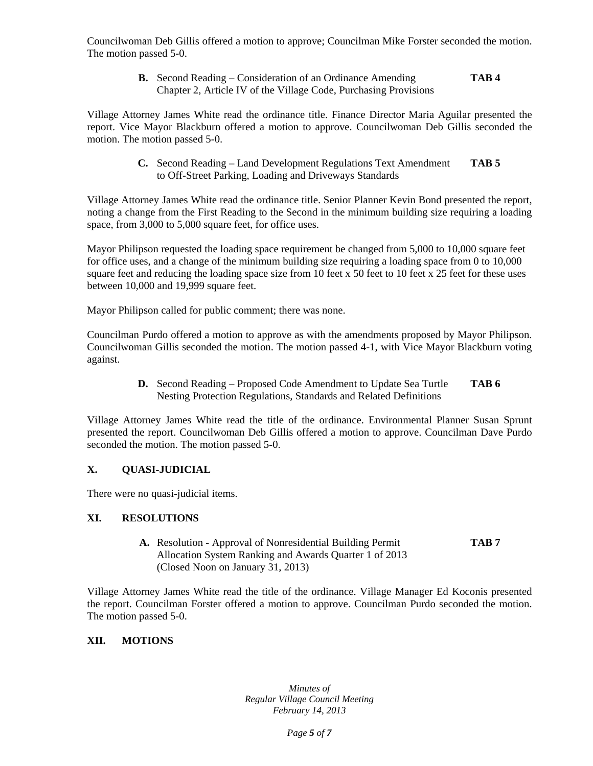Councilwoman Deb Gillis offered a motion to approve; Councilman Mike Forster seconded the motion. The motion passed 5-0.

> **B.** Second Reading – Consideration of an Ordinance Amending **TAB 4**  Chapter 2, Article IV of the Village Code, Purchasing Provisions

Village Attorney James White read the ordinance title. Finance Director Maria Aguilar presented the report. Vice Mayor Blackburn offered a motion to approve. Councilwoman Deb Gillis seconded the motion. The motion passed 5-0.

> **C.** Second Reading – Land Development Regulations Text Amendment **TAB 5**  to Off-Street Parking, Loading and Driveways Standards

Village Attorney James White read the ordinance title. Senior Planner Kevin Bond presented the report, noting a change from the First Reading to the Second in the minimum building size requiring a loading space, from 3,000 to 5,000 square feet, for office uses.

Mayor Philipson requested the loading space requirement be changed from 5,000 to 10,000 square feet for office uses, and a change of the minimum building size requiring a loading space from 0 to 10,000 square feet and reducing the loading space size from 10 feet x 50 feet to 10 feet x 25 feet for these uses between 10,000 and 19,999 square feet.

Mayor Philipson called for public comment; there was none.

Councilman Purdo offered a motion to approve as with the amendments proposed by Mayor Philipson. Councilwoman Gillis seconded the motion. The motion passed 4-1, with Vice Mayor Blackburn voting against.

> **D.** Second Reading – Proposed Code Amendment to Update Sea Turtle **TAB 6**  Nesting Protection Regulations, Standards and Related Definitions

Village Attorney James White read the title of the ordinance. Environmental Planner Susan Sprunt presented the report. Councilwoman Deb Gillis offered a motion to approve. Councilman Dave Purdo seconded the motion. The motion passed 5-0.

# **X. QUASI-JUDICIAL**

There were no quasi-judicial items.

### **XI. RESOLUTIONS**

**A.** Resolution - Approval of Nonresidential Building Permit **TAB 7**  Allocation System Ranking and Awards Quarter 1 of 2013 (Closed Noon on January 31, 2013)

Village Attorney James White read the title of the ordinance. Village Manager Ed Koconis presented the report. Councilman Forster offered a motion to approve. Councilman Purdo seconded the motion. The motion passed 5-0.

### **XII. MOTIONS**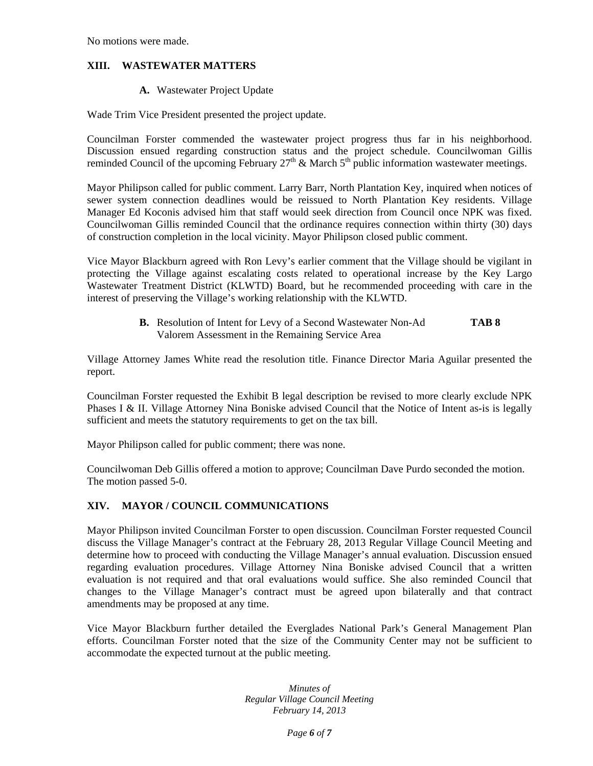No motions were made.

# **XIII. WASTEWATER MATTERS**

#### **A.** Wastewater Project Update

Wade Trim Vice President presented the project update.

Councilman Forster commended the wastewater project progress thus far in his neighborhood. Discussion ensued regarding construction status and the project schedule. Councilwoman Gillis reminded Council of the upcoming February  $27<sup>th</sup>$  & March  $5<sup>th</sup>$  public information wastewater meetings.

Mayor Philipson called for public comment. Larry Barr, North Plantation Key, inquired when notices of sewer system connection deadlines would be reissued to North Plantation Key residents. Village Manager Ed Koconis advised him that staff would seek direction from Council once NPK was fixed. Councilwoman Gillis reminded Council that the ordinance requires connection within thirty (30) days of construction completion in the local vicinity. Mayor Philipson closed public comment.

Vice Mayor Blackburn agreed with Ron Levy's earlier comment that the Village should be vigilant in protecting the Village against escalating costs related to operational increase by the Key Largo Wastewater Treatment District (KLWTD) Board, but he recommended proceeding with care in the interest of preserving the Village's working relationship with the KLWTD.

> **B.** Resolution of Intent for Levy of a Second Wastewater Non-Ad **TAB 8**  Valorem Assessment in the Remaining Service Area

Village Attorney James White read the resolution title. Finance Director Maria Aguilar presented the report.

Councilman Forster requested the Exhibit B legal description be revised to more clearly exclude NPK Phases I & II. Village Attorney Nina Boniske advised Council that the Notice of Intent as-is is legally sufficient and meets the statutory requirements to get on the tax bill.

Mayor Philipson called for public comment; there was none.

Councilwoman Deb Gillis offered a motion to approve; Councilman Dave Purdo seconded the motion. The motion passed 5-0.

### **XIV. MAYOR / COUNCIL COMMUNICATIONS**

Mayor Philipson invited Councilman Forster to open discussion. Councilman Forster requested Council discuss the Village Manager's contract at the February 28, 2013 Regular Village Council Meeting and determine how to proceed with conducting the Village Manager's annual evaluation. Discussion ensued regarding evaluation procedures. Village Attorney Nina Boniske advised Council that a written evaluation is not required and that oral evaluations would suffice. She also reminded Council that changes to the Village Manager's contract must be agreed upon bilaterally and that contract amendments may be proposed at any time.

Vice Mayor Blackburn further detailed the Everglades National Park's General Management Plan efforts. Councilman Forster noted that the size of the Community Center may not be sufficient to accommodate the expected turnout at the public meeting.

> *Minutes of Regular Village Council Meeting February 14, 2013*

> > *Page 6 of 7*